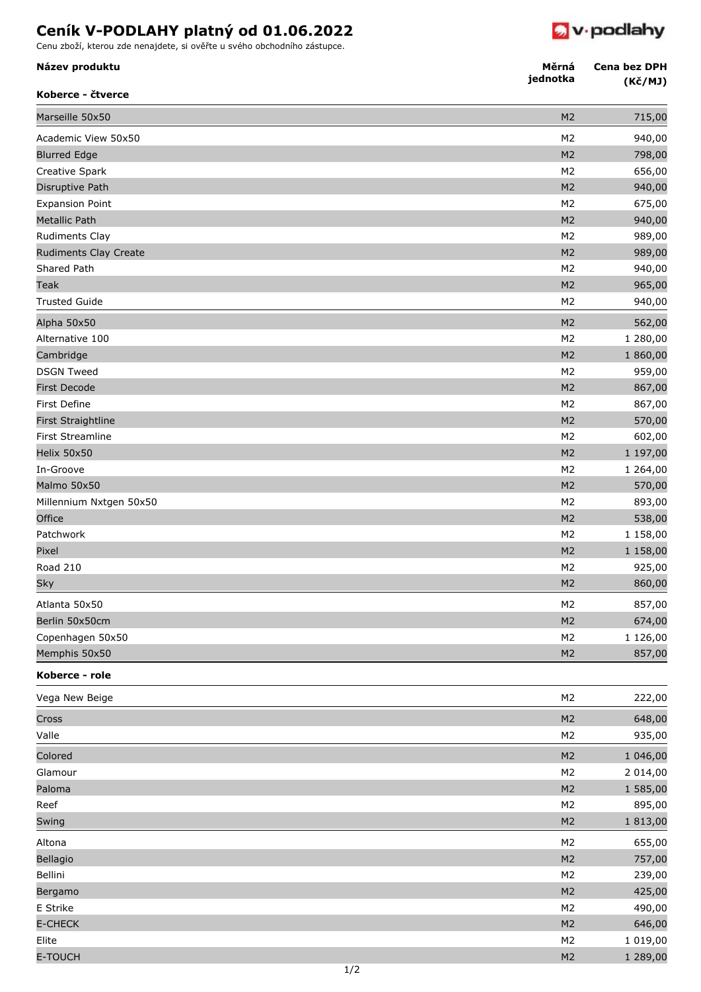## **Ceník V-PODLAHY platný od 01.06.2022**

Cenu zboží, kterou zde nenajdete, si ověřte u svého obchodního zástupce.



| Název produktu<br>Koberce - čtverce | Měrná<br>jednotka | Cena bez DPH<br>(Kč/MJ) |
|-------------------------------------|-------------------|-------------------------|
| Marseille 50x50                     | M <sub>2</sub>    | 715,00                  |
| Academic View 50x50                 | M <sub>2</sub>    | 940,00                  |
| <b>Blurred Edge</b>                 | M <sub>2</sub>    | 798,00                  |
| Creative Spark                      | M <sub>2</sub>    | 656,00                  |
| Disruptive Path                     | M <sub>2</sub>    | 940,00                  |
| <b>Expansion Point</b>              | M <sub>2</sub>    | 675,00                  |
| <b>Metallic Path</b>                | M <sub>2</sub>    | 940,00                  |
| Rudiments Clay                      | M <sub>2</sub>    | 989,00                  |
| <b>Rudiments Clay Create</b>        | M <sub>2</sub>    | 989,00                  |
| Shared Path                         | M <sub>2</sub>    | 940,00                  |
| Teak                                | M <sub>2</sub>    | 965,00                  |
| <b>Trusted Guide</b>                | M <sub>2</sub>    | 940,00                  |
| Alpha 50x50                         | M <sub>2</sub>    | 562,00                  |
| Alternative 100                     | M <sub>2</sub>    | 1 280,00                |
| Cambridge                           | M <sub>2</sub>    | 1 860,00                |
| <b>DSGN Tweed</b>                   | M <sub>2</sub>    | 959,00                  |
| <b>First Decode</b>                 | M <sub>2</sub>    | 867,00                  |
| First Define                        | M <sub>2</sub>    | 867,00                  |
| First Straightline                  | M <sub>2</sub>    | 570,00                  |
| First Streamline                    | M <sub>2</sub>    | 602,00                  |
| Helix 50x50                         | M <sub>2</sub>    | 1 197,00                |
| In-Groove                           | M <sub>2</sub>    | 1 264,00                |
| Malmo 50x50                         | M <sub>2</sub>    | 570,00                  |
| Millennium Nxtgen 50x50             | M <sub>2</sub>    | 893,00                  |
| Office                              | M <sub>2</sub>    | 538,00                  |
| Patchwork                           | M <sub>2</sub>    | 1 158,00                |
| Pixel                               | M <sub>2</sub>    | 1 158,00                |
| <b>Road 210</b>                     | M <sub>2</sub>    | 925,00                  |
| Sky                                 | M <sub>2</sub>    | 860,00                  |
| Atlanta 50x50                       | M <sub>2</sub>    | 857,00                  |
| Berlin 50x50cm                      | M <sub>2</sub>    | 674,00                  |
| Copenhagen 50x50                    | M <sub>2</sub>    | 1 126,00                |
| Memphis 50x50                       | M <sub>2</sub>    | 857,00                  |
| Koberce - role                      |                   |                         |
| Vega New Beige                      | M <sub>2</sub>    | 222,00                  |
| Cross                               | M <sub>2</sub>    | 648,00                  |
| Valle                               | M <sub>2</sub>    | 935,00                  |
| Colored                             | M <sub>2</sub>    | 1 046,00                |
| Glamour                             | M <sub>2</sub>    | 2 014,00                |
| Paloma                              | M <sub>2</sub>    | 1 585,00                |
| Reef                                | M <sub>2</sub>    | 895,00                  |
| Swing                               | M <sub>2</sub>    | 1813,00                 |
| Altona                              | M <sub>2</sub>    | 655,00                  |
| Bellagio                            | M <sub>2</sub>    | 757,00                  |
| Bellini                             | M <sub>2</sub>    | 239,00                  |
| Bergamo                             | M <sub>2</sub>    | 425,00                  |
| E Strike                            | M <sub>2</sub>    | 490,00                  |
| <b>E-CHECK</b>                      | M <sub>2</sub>    | 646,00                  |
| Elite                               | M <sub>2</sub>    | 1 019,00                |
| <b>E-TOUCH</b>                      | M <sub>2</sub>    | 1 289,00                |